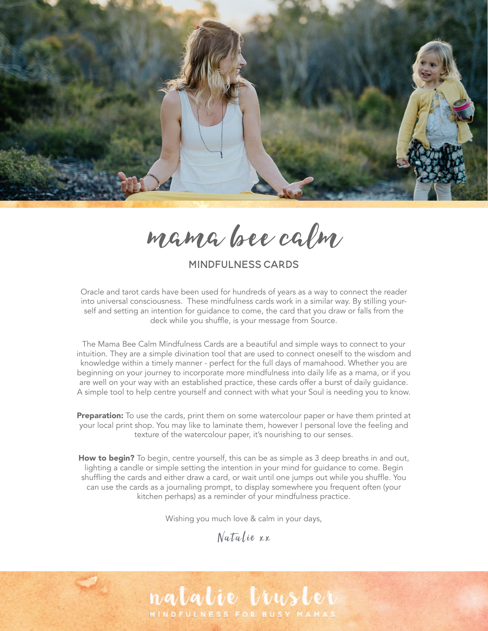

mama bee calm

mindfulness cards

Oracle and tarot cards have been used for hundreds of years as a way to connect the reader into universal consciousness. These mindfulness cards work in a similar way. By stilling yourself and setting an intention for guidance to come, the card that you draw or falls from the deck while you shuffle, is your message from Source.

The Mama Bee Calm Mindfulness Cards are a beautiful and simple ways to connect to your intuition. They are a simple divination tool that are used to connect oneself to the wisdom and knowledge within a timely manner - perfect for the full days of mamahood. Whether you are beginning on your journey to incorporate more mindfulness into daily life as a mama, or if you are well on your way with an established practice, these cards offer a burst of daily guidance. A simple tool to help centre yourself and connect with what your Soul is needing you to know.

Preparation: To use the cards, print them on some watercolour paper or have them printed at your local print shop. You may like to laminate them, however I personal love the feeling and texture of the watercolour paper, it's nourishing to our senses.

How to begin? To begin, centre yourself, this can be as simple as 3 deep breaths in and out, lighting a candle or simple setting the intention in your mind for guidance to come. Begin shuffling the cards and either draw a card, or wait until one jumps out while you shuffle. You can use the cards as a journaling prompt, to display somewhere you frequent often (your kitchen perhaps) as a reminder of your mindfulness practice.

Wishing you much love & calm in your days,

Natalie xx